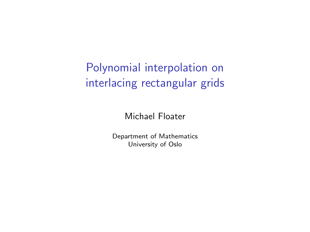# Polynomial interpolation on interlacing rectangular grids

Michael Floater

Department of Mathematics University of Oslo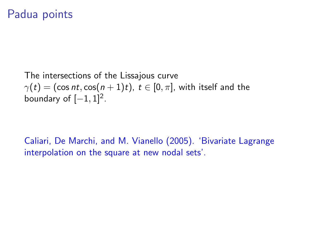#### Padua points

The intersections of the Lissajous curve  $\gamma(t) = (\cos nt, \cos(n+1)t), t \in [0, \pi]$ , with itself and the boundary of  $[-1, 1]^2$ .

Caliari, De Marchi, and M. Vianello (2005). 'Bivariate Lagrange interpolation on the square at new nodal sets'.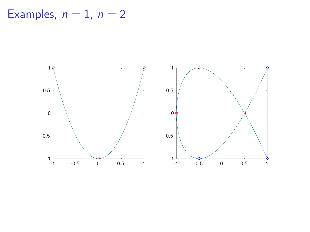Examples,  $n = 1$ ,  $n = 2$ 

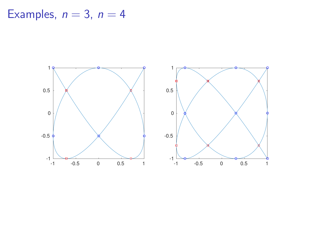Examples,  $n = 3$ ,  $n = 4$ 

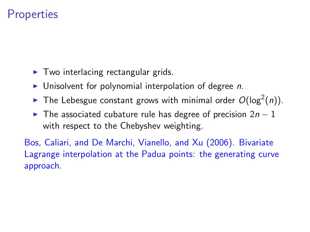## **Properties**

- $\blacktriangleright$  Two interlacing rectangular grids.
- $\blacktriangleright$  Unisolvent for polynomial interpolation of degree n.
- The Lebesgue constant grows with minimal order  $O(\log^2(n))$ .
- $\triangleright$  The associated cubature rule has degree of precision 2n 1 with respect to the Chebyshev weighting.

Bos, Caliari, and De Marchi, Vianello, and Xu (2006). Bivariate Lagrange interpolation at the Padua points: the generating curve approach.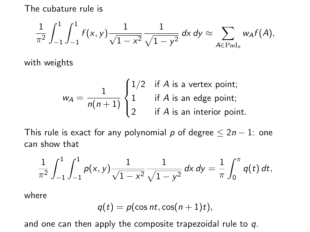The cubature rule is

$$
\frac{1}{\pi^2} \int_{-1}^1 \int_{-1}^1 f(x,y) \frac{1}{\sqrt{1-x^2}} \frac{1}{\sqrt{1-y^2}} dx dy \approx \sum_{A \in \text{Pad}_n} w_A f(A),
$$

with weights

$$
w_A = \frac{1}{n(n+1)} \begin{cases} 1/2 & \text{if } A \text{ is a vertex point;} \\ 1 & \text{if } A \text{ is an edge point;} \\ 2 & \text{if } A \text{ is an interior point.} \end{cases}
$$

This rule is exact for any polynomial p of degree  $\leq 2n - 1$ : one can show that

$$
\frac{1}{\pi^2}\int_{-1}^1\int_{-1}^1p(x,y)\frac{1}{\sqrt{1-x^2}}\frac{1}{\sqrt{1-y^2}}\,dx\,dy=\frac{1}{\pi}\int_0^{\pi}q(t)\,dt,
$$

where

$$
q(t) = p(\cos nt, \cos(n+1)t),
$$

and one can then apply the composite trapezoidal rule to  $q$ .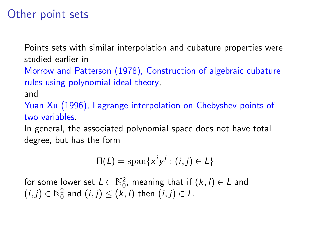## Other point sets

Points sets with similar interpolation and cubature properties were studied earlier in

Morrow and Patterson (1978), Construction of algebraic cubature rules using polynomial ideal theory,

and

Yuan Xu (1996), Lagrange interpolation on Chebyshev points of two variables.

In general, the associated polynomial space does not have total degree, but has the form

$$
\Pi(L) = \mathrm{span}\{x^i y^j : (i,j) \in L\}
$$

for some lower set  $L\subset \mathbb{N}_0^2$ , meaning that if  $(k,l)\in L$  and  $(i, j) \in \mathbb{N}_0^2$  and  $(i, j) \leq (k, l)$  then  $(i, j) \in L$ .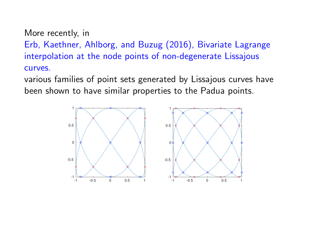More recently, in

Erb, Kaethner, Ahlborg, and Buzug (2016), Bivariate Lagrange interpolation at the node points of non-degenerate Lissajous curves.

various families of point sets generated by Lissajous curves have been shown to have similar properties to the Padua points.

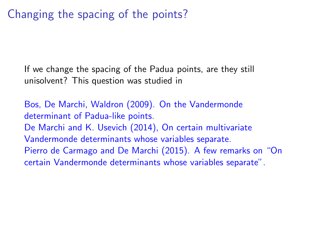Changing the spacing of the points?

If we change the spacing of the Padua points, are they still unisolvent? This question was studied in

Bos, De Marchi, Waldron (2009). On the Vandermonde determinant of Padua-like points. De Marchi and K. Usevich (2014), On certain multivariate Vandermonde determinants whose variables separate. Pierro de Carmago and De Marchi (2015). A few remarks on "On certain Vandermonde determinants whose variables separate".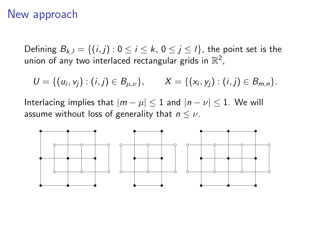#### New approach

Defining  $B_{k,l} = \{(i,j): 0 \le i \le k, 0 \le j \le l\}$ , the point set is the union of any two interlaced rectangular grids in  $\mathbb{R}^2$ ,

 $U = \{(u_i, v_j) : (i, j) \in B_{\mu, \nu}\}, \qquad X = \{(x_i, y_j) : (i, j) \in B_{m,n}\}.$ 

Interlacing implies that  $|m - \mu| \leq 1$  and  $|n - \nu| \leq 1$ . We will assume without loss of generality that  $n \leq \nu$ .

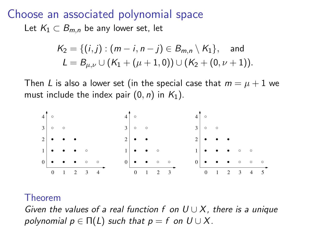Choose an associated polynomial space Let  $K_1 \subset B_{m,n}$  be any lower set, let

$$
K_2 = \{ (i,j) : (m-i, n-j) \in B_{m,n} \setminus K_1 \}, \text{ and}
$$
  

$$
L = B_{\mu,\nu} \cup (K_1 + (\mu + 1, 0)) \cup (K_2 + (0, \nu + 1)).
$$

Then L is also a lower set (in the special case that  $m = \mu + 1$  we must include the index pair  $(0, n)$  in  $K_1$ ).



#### Theorem

Given the values of a real function f on  $U \cup X$ , there is a unique polynomial  $p \in \Pi(L)$  such that  $p = f$  on  $U \cup X$ .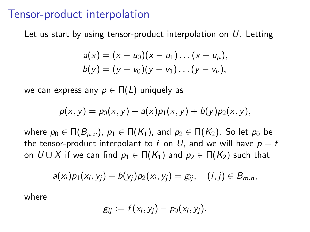#### Tensor-product interpolation

Let us start by using tensor-product interpolation on  $U$ . Letting

$$
a(x) = (x - u_0)(x - u_1) \dots (x - u_\mu),
$$
  
\n
$$
b(y) = (y - v_0)(y - v_1) \dots (y - v_\nu),
$$

we can express any  $p \in \Pi(L)$  uniquely as

$$
p(x, y) = p_0(x, y) + a(x)p_1(x, y) + b(y)p_2(x, y),
$$

where  $p_0 \in \Pi(B_{\mu,\nu})$ ,  $p_1 \in \Pi(K_1)$ , and  $p_2 \in \Pi(K_2)$ . So let  $p_0$  be the tensor-product interpolant to f on U, and we will have  $p = f$ on  $U \cup X$  if we can find  $p_1 \in \Pi(K_1)$  and  $p_2 \in \Pi(K_2)$  such that

$$
a(x_i)p_1(x_i, y_j) + b(y_j)p_2(x_i, y_j) = g_{ij}, \quad (i, j) \in B_{m,n},
$$

where

$$
g_{ij}:=f(x_i,y_j)-p_0(x_i,y_j).
$$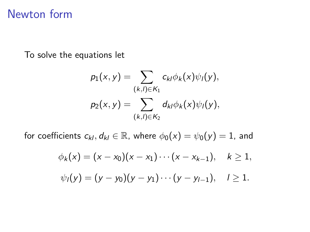## Newton form

To solve the equations let

$$
p_1(x,y) = \sum_{(k,l) \in K_1} c_{kl} \phi_k(x) \psi_l(y),
$$
  

$$
p_2(x,y) = \sum_{(k,l) \in K_2} d_{kl} \phi_k(x) \psi_l(y),
$$

for coefficients  $c_{kl}$ ,  $d_{kl} \in \mathbb{R}$ , where  $\phi_0(x) = \psi_0(y) = 1$ , and

$$
\phi_k(x) = (x - x_0)(x - x_1) \cdots (x - x_{k-1}), \quad k \ge 1,
$$
  

$$
\psi_l(y) = (y - y_0)(y - y_1) \cdots (y - y_{l-1}), \quad l \ge 1.
$$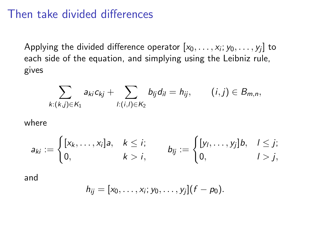#### Then take divided differences

Applying the divided difference operator  $[x_0,\ldots,x_i;y_0,\ldots,y_j]$  to each side of the equation, and simplying using the Leibniz rule, gives

$$
\sum_{k:(k,j)\in K_1}a_{ki}c_{kj}+\sum_{l:(i,l)\in K_2}b_{lj}d_{il}=h_{ij}, \qquad (i,j)\in B_{m,n},
$$

where

$$
a_{ki} := \begin{cases} [x_k, \ldots, x_i]a, & k \leq i; \\ 0, & k > i, \end{cases} \qquad b_{ij} := \begin{cases} [y_l, \ldots, y_j]b, & l \leq j; \\ 0, & l > j, \end{cases}
$$

and

$$
h_{ij} = [x_0, \ldots, x_i; y_0, \ldots, y_j](f - p_0).
$$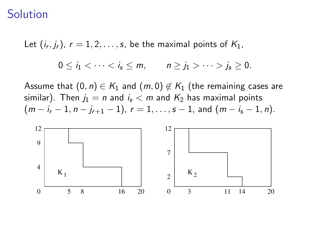#### Solution

Let  $(i_r, j_r)$ ,  $r = 1, 2, \ldots, s$ , be the maximal points of  $K_1$ ,

$$
0\leq i_1<\cdots\cdots>j_s\geq 0.
$$

Assume that  $(0, n) \in K_1$  and  $(m, 0) \notin K_1$  (the remaining cases are similar). Then  $j_1 = n$  and  $i_s < m$  and  $K_2$  has maximal points  $(m - i<sub>r</sub> - 1, n - i<sub>r+1</sub> - 1), r = 1, \ldots, s - 1$ , and  $(m - i<sub>s</sub> - 1, n)$ .

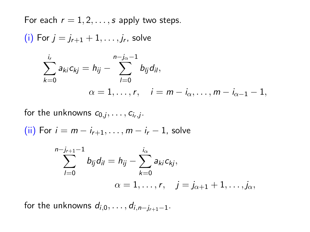For each  $r = 1, 2, \ldots, s$  apply two steps. (i) For  $j = j_{r+1} + 1, \ldots, j_r$ , solve  $\sum$ ir  $k=0$ a<sub>ki</sub> c<sub>kj</sub> = h<sub>ij</sub> − n− $\sum$ j $_{\alpha}$ −1  $l=0$  $b_{lj}d_{il},$  $\alpha = 1, \ldots, r, \quad i = m - i_{\alpha}, \ldots, m - i_{\alpha-1} - 1,$ 

for the unknowns  $c_{0,j},\ldots,c_{i_r,j}$ .

(ii) For  $i = m - i_{r+1}, \ldots, m - i_r - 1$ , solve

$$
\sum_{l=0}^{n-j_{r+1}-1} b_{lj}d_{il} = h_{ij} - \sum_{k=0}^{i_{\alpha}} a_{ki}c_{kj},
$$
  

$$
\alpha = 1, \ldots, r, \quad j = j_{\alpha+1} + 1, \ldots, j_{\alpha},
$$

for the unknowns  $d_{i,0}, \ldots, d_{i,n-i_{r+1}-1}$ .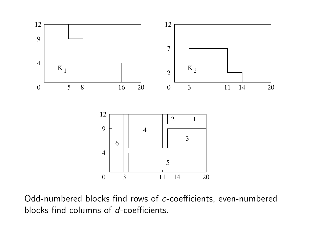

Odd-numbered blocks find rows of c-coefficients, even-numbered blocks find columns of d-coefficients.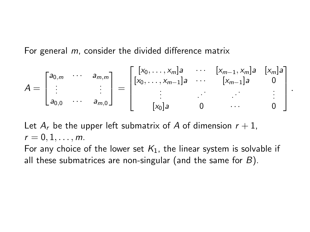For general m, consider the divided difference matrix

$$
A = \begin{bmatrix} a_{0,m} & \cdots & a_{m,m} \\ \vdots & & \vdots \\ a_{0,0} & \cdots & a_{m,0} \end{bmatrix} = \begin{bmatrix} [x_0, \ldots, x_m]a & \cdots & [x_{m-1}, x_m]a & [x_m]a \\ [x_0, \ldots, x_{m-1}]a & \cdots & [x_{m-1}]a & 0 \\ \vdots & & \vdots & \vdots \\ [x_0]a & 0 & \cdots & 0 \end{bmatrix}
$$

.

Let  $A_r$  be the upper left submatrix of A of dimension  $r + 1$ ,  $r = 0, 1, \ldots, m$ .

For any choice of the lower set  $K_1$ , the linear system is solvable if all these submatrices are non-singular (and the same for  $B$ ).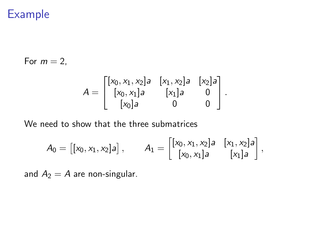### Example

For  $m = 2$ ,

$$
A = \begin{bmatrix} [x_0, x_1, x_2]a & [x_1, x_2]a & [x_2]a \\ [x_0, x_1]a & [x_1]a & 0 \\ [x_0]a & 0 & 0 \end{bmatrix}.
$$

We need to show that the three submatrices

$$
A_0 = [[x_0, x_1, x_2]a], \qquad A_1 = \begin{bmatrix} [x_0, x_1, x_2]a & [x_1, x_2]a \\ [x_0, x_1]a & [x_1]a \end{bmatrix},
$$

and  $A_2 = A$  are non-singular.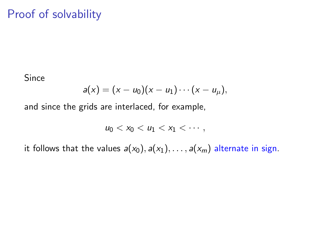## Proof of solvability

Since

$$
a(x)=(x-u_0)(x-u_1)\cdots(x-u_\mu),
$$

and since the grids are interlaced, for example,

$$
u_0 < x_0 < u_1 < x_1 < \cdots,
$$

it follows that the values  $a(x_0), a(x_1), \ldots, a(x_m)$  alternate in sign.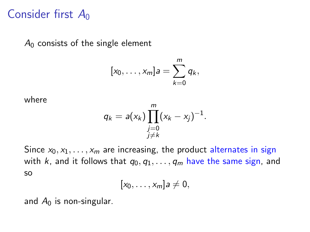## Consider first  $A_0$

 $A_0$  consists of the single element

$$
[x_0,\ldots,x_m]a=\sum_{k=0}^m q_k,
$$

where

$$
q_k = a(x_k) \prod_{\substack{j=0 \ j \neq k}}^m (x_k - x_j)^{-1}.
$$

Since  $x_0, x_1, \ldots, x_m$  are increasing, the product alternates in sign with k, and it follows that  $q_0, q_1, \ldots, q_m$  have the same sign, and so

$$
[x_0,\ldots,x_m]a\neq 0,
$$

and  $A_0$  is non-singular.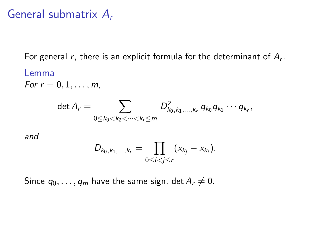### General submatrix  $A_r$

For general  $r$ , there is an explicit formula for the determinant of  $A_r$ . Lemma

For  $r = 0, 1, ..., m$ ,

$$
\det A_r = \sum_{0 \leq k_0 < k_2 < \cdots < k_r \leq m} D^2_{k_0, k_1, \ldots, k_r} q_{k_0} q_{k_1} \cdots q_{k_r},
$$

and

$$
D_{k_0,k_1,...,k_r} = \prod_{0 \leq i < j \leq r} (x_{k_j} - x_{k_i}).
$$

Since  $q_0, \ldots, q_m$  have the same sign, det  $A_r \neq 0$ .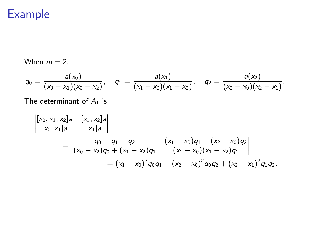## Example

When 
$$
m = 2
$$
,  
\n
$$
q_0 = \frac{a(x_0)}{(x_0 - x_1)(x_0 - x_2)}, \quad q_1 = \frac{a(x_1)}{(x_1 - x_0)(x_1 - x_2)}, \quad q_2 = \frac{a(x_2)}{(x_2 - x_0)(x_2 - x_1)}.
$$

The determinant of  $A_1$  is

$$
\begin{vmatrix} [x_0, x_1, x_2]a & [x_1, x_2]a \\ [x_0, x_1]a & [x_1]a \end{vmatrix}
$$
  
= 
$$
\begin{vmatrix} q_0 + q_1 + q_2 & (x_1 - x_0)q_1 + (x_2 - x_0)q_2 \\ (x_0 - x_2)q_0 + (x_1 - x_2)q_1 & (x_1 - x_0)(x_1 - x_2)q_1 \end{vmatrix}
$$
  
= 
$$
(x_1 - x_0)^2 q_0 q_1 + (x_2 - x_0)^2 q_0 q_2 + (x_2 - x_1)^2 q_1 q_2.
$$